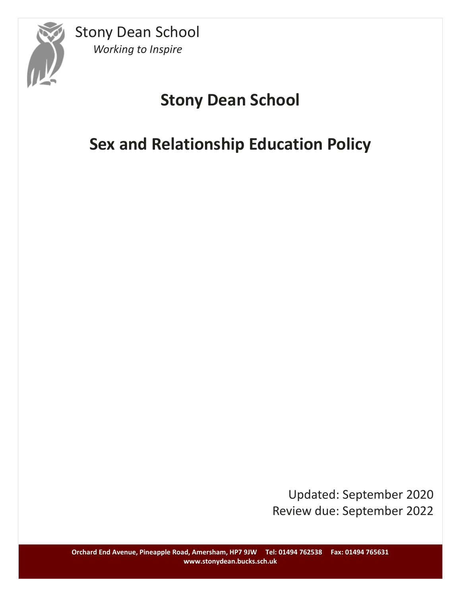

# **Stony Dean School**

# **Sex and Relationship Education Policy**

Updated: September 2020 Review due: September 2022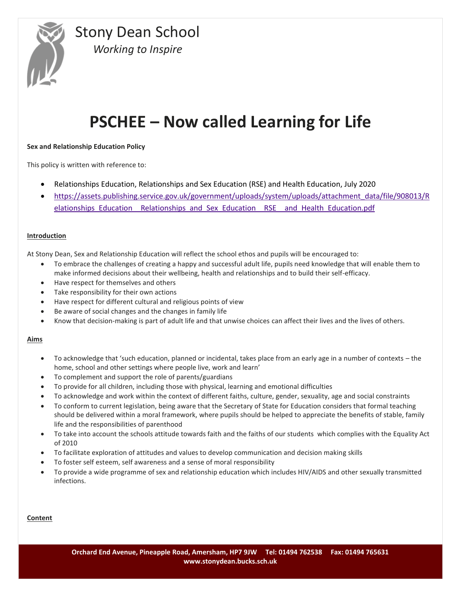

# **PSCHEE – Now called Learning for Life**

# **Sex and Relationship Education Policy**

This policy is written with reference to:

- Relationships Education, Relationships and Sex Education (RSE) and Health Education, July 2020
- [https://assets.publishing.service.gov.uk/government/uploads/system/uploads/attachment\\_data/file/908013/R](https://assets.publishing.service.gov.uk/government/uploads/system/uploads/attachment_data/file/908013/Relationships_Education__Relationships_and_Sex_Education__RSE__and_Health_Education.pdf) elationships Education Relationships and Sex Education RSE and Health Education.pdf

### **Introduction**

At Stony Dean, Sex and Relationship Education will reflect the school ethos and pupils will be encouraged to:

- To embrace the challenges of creating a happy and successful adult life, pupils need knowledge that will enable them to make informed decisions about their wellbeing, health and relationships and to build their self-efficacy.
- Have respect for themselves and others
- Take responsibility for their own actions
- Have respect for different cultural and religious points of view
- Be aware of social changes and the changes in family life
- Know that decision-making is part of adult life and that unwise choices can affect their lives and the lives of others.

#### **Aims**

- To acknowledge that 'such education, planned or incidental, takes place from an early age in a number of contexts the home, school and other settings where people live, work and learn'
- To complement and support the role of parents/guardians
- To provide for all children, including those with physical, learning and emotional difficulties
- To acknowledge and work within the context of different faiths, culture, gender, sexuality, age and social constraints
- To conform to current legislation, being aware that the Secretary of State for Education considers that formal teaching should be delivered within a moral framework, where pupils should be helped to appreciate the benefits of stable, family life and the responsibilities of parenthood
- To take into account the schools attitude towards faith and the faiths of our students which complies with the Equality Act of 2010
- To facilitate exploration of attitudes and values to develop communication and decision making skills
- To foster self esteem, self awareness and a sense of moral responsibility
- To provide a wide programme of sex and relationship education which includes HIV/AIDS and other sexually transmitted infections.

### **Content**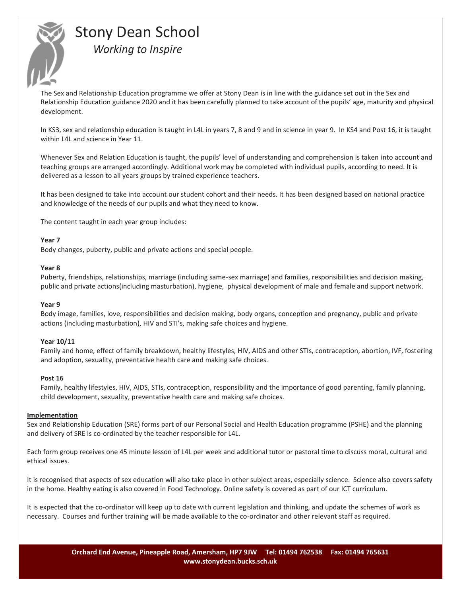

The Sex and Relationship Education programme we offer at Stony Dean is in line with the guidance set out in the Sex and Relationship Education guidance 2020 and it has been carefully planned to take account of the pupils' age, maturity and physical development.

In KS3, sex and relationship education is taught in L4L in years 7, 8 and 9 and in science in year 9. In KS4 and Post 16, it is taught within L4L and science in Year 11.

Whenever Sex and Relation Education is taught, the pupils' level of understanding and comprehension is taken into account and teaching groups are arranged accordingly. Additional work may be completed with individual pupils, according to need. It is delivered as a lesson to all years groups by trained experience teachers.

It has been designed to take into account our student cohort and their needs. It has been designed based on national practice and knowledge of the needs of our pupils and what they need to know.

The content taught in each year group includes:

### **Year 7**

Body changes, puberty, public and private actions and special people.

#### **Year 8**

Puberty, friendships, relationships, marriage (including same-sex marriage) and families, responsibilities and decision making, public and private actions(including masturbation), hygiene, physical development of male and female and support network.

#### **Year 9**

Body image, families, love, responsibilities and decision making, body organs, conception and pregnancy, public and private actions (including masturbation), HIV and STI's, making safe choices and hygiene.

#### **Year 10/11**

Family and home, effect of family breakdown, healthy lifestyles, HIV, AIDS and other STIs, contraception, abortion, IVF, fostering and adoption, sexuality, preventative health care and making safe choices.

#### **Post 16**

Family, healthy lifestyles, HIV, AIDS, STIs, contraception, responsibility and the importance of good parenting, family planning, child development, sexuality, preventative health care and making safe choices.

#### **Implementation**

Sex and Relationship Education (SRE) forms part of our Personal Social and Health Education programme (PSHE) and the planning and delivery of SRE is co-ordinated by the teacher responsible for L4L.

Each form group receives one 45 minute lesson of L4L per week and additional tutor or pastoral time to discuss moral, cultural and ethical issues.

It is recognised that aspects of sex education will also take place in other subject areas, especially science. Science also covers safety in the home. Healthy eating is also covered in Food Technology. Online safety is covered as part of our ICT curriculum.

It is expected that the co-ordinator will keep up to date with current legislation and thinking, and update the schemes of work as necessary. Courses and further training will be made available to the co-ordinator and other relevant staff as required.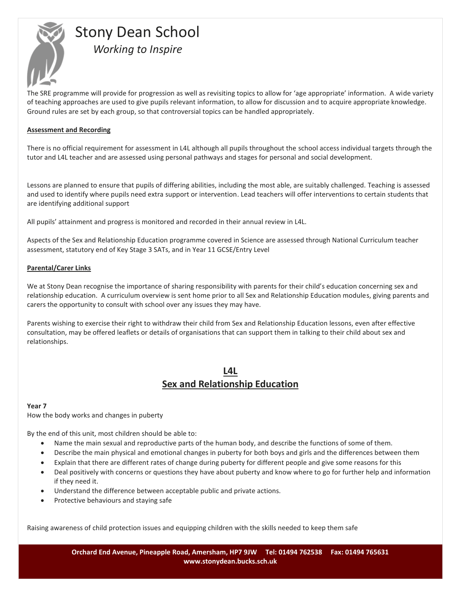

The SRE programme will provide for progression as well as revisiting topics to allow for 'age appropriate' information. A wide variety of teaching approaches are used to give pupils relevant information, to allow for discussion and to acquire appropriate knowledge. Ground rules are set by each group, so that controversial topics can be handled appropriately.

# **Assessment and Recording**

There is no official requirement for assessment in L4L although all pupils throughout the school access individual targets through the tutor and L4L teacher and are assessed using personal pathways and stages for personal and social development.

Lessons are planned to ensure that pupils of differing abilities, including the most able, are suitably challenged. Teaching is assessed and used to identify where pupils need extra support or intervention. Lead teachers will offer interventions to certain students that are identifying additional support

All pupils' attainment and progress is monitored and recorded in their annual review in L4L.

Aspects of the Sex and Relationship Education programme covered in Science are assessed through National Curriculum teacher assessment, statutory end of Key Stage 3 SATs, and in Year 11 GCSE/Entry Level

# **Parental/Carer Links**

We at Stony Dean recognise the importance of sharing responsibility with parents for their child's education concerning sex and relationship education. A curriculum overview is sent home prior to all Sex and Relationship Education modules, giving parents and carers the opportunity to consult with school over any issues they may have.

Parents wishing to exercise their right to withdraw their child from Sex and Relationship Education lessons, even after effective consultation, may be offered leaflets or details of organisations that can support them in talking to their child about sex and relationships.

# **L4L Sex and Relationship Education**

# **Year 7**

How the body works and changes in puberty

By the end of this unit, most children should be able to:

- Name the main sexual and reproductive parts of the human body, and describe the functions of some of them.
- Describe the main physical and emotional changes in puberty for both boys and girls and the differences between them
- Explain that there are different rates of change during puberty for different people and give some reasons for this
- Deal positively with concerns or questions they have about puberty and know where to go for further help and information if they need it.
- Understand the difference between acceptable public and private actions.
- Protective behaviours and staying safe

Raising awareness of child protection issues and equipping children with the skills needed to keep them safe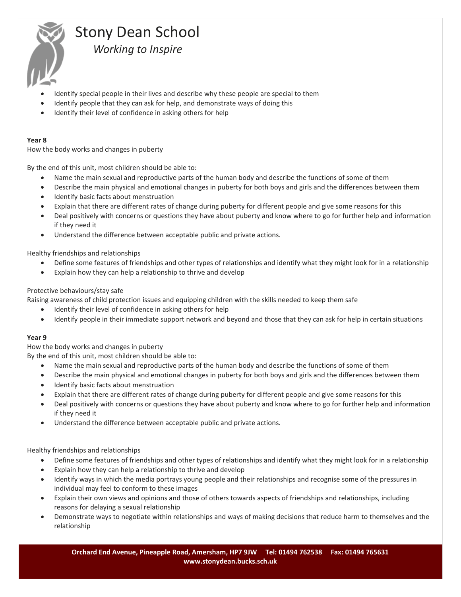

- Identify special people in their lives and describe why these people are special to them
- Identify people that they can ask for help, and demonstrate ways of doing this
- Identify their level of confidence in asking others for help

### **Year 8**

How the body works and changes in puberty

By the end of this unit, most children should be able to:

- Name the main sexual and reproductive parts of the human body and describe the functions of some of them
- Describe the main physical and emotional changes in puberty for both boys and girls and the differences between them
- Identify basic facts about menstruation
- Explain that there are different rates of change during puberty for different people and give some reasons for this
- Deal positively with concerns or questions they have about puberty and know where to go for further help and information if they need it
- Understand the difference between acceptable public and private actions.

Healthy friendships and relationships

- Define some features of friendships and other types of relationships and identify what they might look for in a relationship
- Explain how they can help a relationship to thrive and develop

# Protective behaviours/stay safe

Raising awareness of child protection issues and equipping children with the skills needed to keep them safe

- Identify their level of confidence in asking others for help
- Identify people in their immediate support network and beyond and those that they can ask for help in certain situations

# **Year 9**

How the body works and changes in puberty

By the end of this unit, most children should be able to:

- Name the main sexual and reproductive parts of the human body and describe the functions of some of them
- Describe the main physical and emotional changes in puberty for both boys and girls and the differences between them
- Identify basic facts about menstruation
- Explain that there are different rates of change during puberty for different people and give some reasons for this
- Deal positively with concerns or questions they have about puberty and know where to go for further help and information if they need it
- Understand the difference between acceptable public and private actions.

Healthy friendships and relationships

- Define some features of friendships and other types of relationships and identify what they might look for in a relationship
- Explain how they can help a relationship to thrive and develop
- Identify ways in which the media portrays young people and their relationships and recognise some of the pressures in individual may feel to conform to these images
- Explain their own views and opinions and those of others towards aspects of friendships and relationships, including reasons for delaying a sexual relationship
- Demonstrate ways to negotiate within relationships and ways of making decisions that reduce harm to themselves and the relationship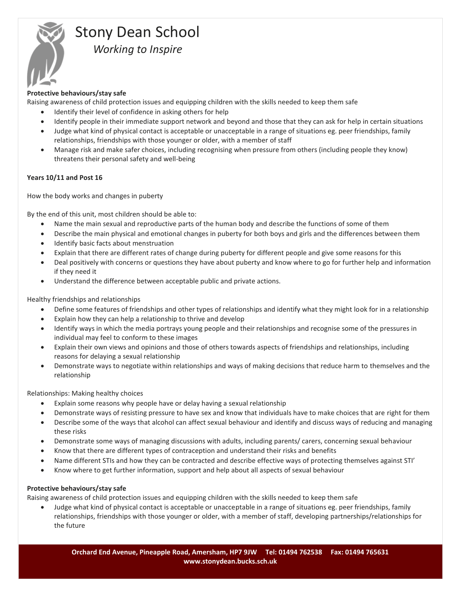

# **Protective behaviours/stay safe**

Raising awareness of child protection issues and equipping children with the skills needed to keep them safe

- Identify their level of confidence in asking others for help
- Identify people in their immediate support network and beyond and those that they can ask for help in certain situations
- Judge what kind of physical contact is acceptable or unacceptable in a range of situations eg. peer friendships, family relationships, friendships with those younger or older, with a member of staff
- Manage risk and make safer choices, including recognising when pressure from others (including people they know) threatens their personal safety and well-being

# **Years 10/11 and Post 16**

How the body works and changes in puberty

By the end of this unit, most children should be able to:

- Name the main sexual and reproductive parts of the human body and describe the functions of some of them
- Describe the main physical and emotional changes in puberty for both boys and girls and the differences between them
- Identify basic facts about menstruation
- Explain that there are different rates of change during puberty for different people and give some reasons for this
- Deal positively with concerns or questions they have about puberty and know where to go for further help and information if they need it
- Understand the difference between acceptable public and private actions.

Healthy friendships and relationships

- Define some features of friendships and other types of relationships and identify what they might look for in a relationship
- Explain how they can help a relationship to thrive and develop
- Identify ways in which the media portrays young people and their relationships and recognise some of the pressures in individual may feel to conform to these images
- Explain their own views and opinions and those of others towards aspects of friendships and relationships, including reasons for delaying a sexual relationship
- Demonstrate ways to negotiate within relationships and ways of making decisions that reduce harm to themselves and the relationship

Relationships: Making healthy choices

- Explain some reasons why people have or delay having a sexual relationship
- Demonstrate ways of resisting pressure to have sex and know that individuals have to make choices that are right for them
- Describe some of the ways that alcohol can affect sexual behaviour and identify and discuss ways of reducing and managing these risks
- Demonstrate some ways of managing discussions with adults, including parents/ carers, concerning sexual behaviour
- Know that there are different types of contraception and understand their risks and benefits
- Name different STIs and how they can be contracted and describe effective ways of protecting themselves against STI'
- Know where to get further information, support and help about all aspects of sexual behaviour

# **Protective behaviours/stay safe**

Raising awareness of child protection issues and equipping children with the skills needed to keep them safe

 Judge what kind of physical contact is acceptable or unacceptable in a range of situations eg. peer friendships, family relationships, friendships with those younger or older, with a member of staff, developing partnerships/relationships for the future